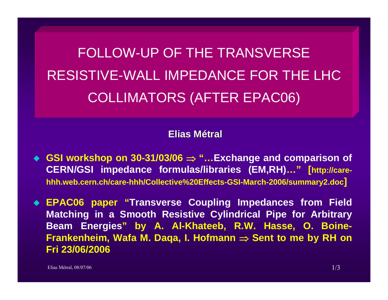FOLLOW-UP OF THE TRANSVERSERESISTIVE-WALL IMPEDANCE FOR THE LHCCOLLIMATORS (AFTER EPAC06)

**Elias Métral**

 **GSI workshop on 30-31/03/06** <sup>⇒</sup> **"…Exchange and comparison of CERN/GSI impedance formulas/libraries (EM,RH)…" [http://carehhh.web.cern.ch/care-hhh/Collective%20Effects-GSI-March-2006/summary2.doc]**

 **EPAC06 paper "Transverse Coupling Impedances from Field Matching in a Smooth Resistive Cylindrical Pipe for Arbitrary Beam Energies" by A. Al-Khateeb, R.W. Hasse, O. Boine-Frankenheim, Wafa M. Daqa, I. Hofmann** <sup>⇒</sup> **Sent to me by RH on Fri 23/06/2006**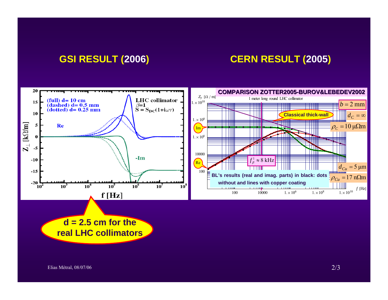## **GSI RESULT (2006) CERN RESULT (2005)**



**d = 2.5 cm for the real LHC collimators**